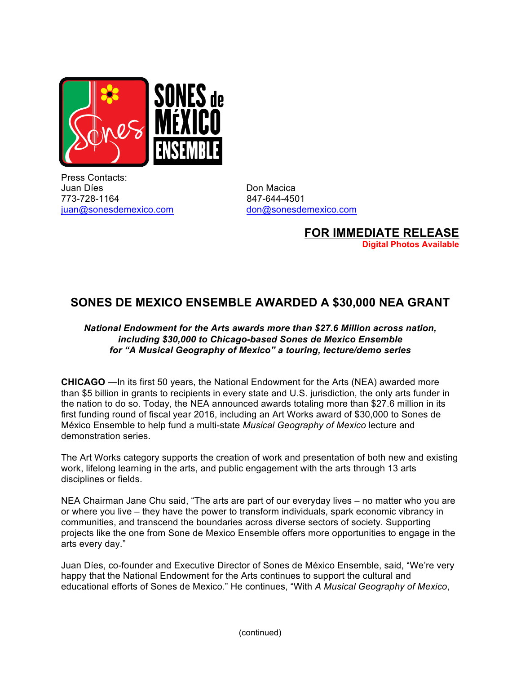

Press Contacts: Juan Díes **Don Macica** 773-728-1164 847-644-4501 juan@sonesdemexico.com don@sonesdemexico.com

**FOR IMMEDIATE RELEASE Digital Photos Available**

## **SONES DE MEXICO ENSEMBLE AWARDED A \$30,000 NEA GRANT**

## *National Endowment for the Arts awards more than \$27.6 Million across nation, including \$30,000 to Chicago-based Sones de Mexico Ensemble for "A Musical Geography of Mexico" a touring, lecture/demo series*

**CHICAGO** —In its first 50 years, the National Endowment for the Arts (NEA) awarded more than \$5 billion in grants to recipients in every state and U.S. jurisdiction, the only arts funder in the nation to do so. Today, the NEA announced awards totaling more than \$27.6 million in its first funding round of fiscal year 2016, including an Art Works award of \$30,000 to Sones de México Ensemble to help fund a multi-state *Musical Geography of Mexico* lecture and demonstration series.

The Art Works category supports the creation of work and presentation of both new and existing work, lifelong learning in the arts, and public engagement with the arts through 13 arts disciplines or fields.

NEA Chairman Jane Chu said, "The arts are part of our everyday lives – no matter who you are or where you live – they have the power to transform individuals, spark economic vibrancy in communities, and transcend the boundaries across diverse sectors of society. Supporting projects like the one from Sone de Mexico Ensemble offers more opportunities to engage in the arts every day."

Juan Díes, co-founder and Executive Director of Sones de México Ensemble, said, "We're very happy that the National Endowment for the Arts continues to support the cultural and educational efforts of Sones de Mexico." He continues, "With *A Musical Geography of Mexico*,